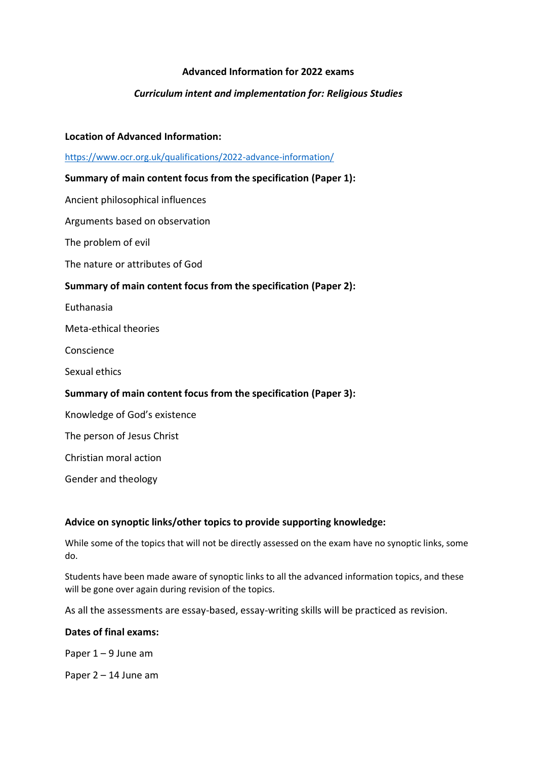# **Advanced Information for 2022 exams**

# *Curriculum intent and implementation for: Religious Studies*

### **Location of Advanced Information:**

<https://www.ocr.org.uk/qualifications/2022-advance-information/>

### **Summary of main content focus from the specification (Paper 1):**

Ancient philosophical influences

Arguments based on observation

The problem of evil

The nature or attributes of God

#### **Summary of main content focus from the specification (Paper 2):**

Euthanasia

Meta-ethical theories

Conscience

Sexual ethics

## **Summary of main content focus from the specification (Paper 3):**

Knowledge of God's existence

The person of Jesus Christ

Christian moral action

Gender and theology

#### **Advice on synoptic links/other topics to provide supporting knowledge:**

While some of the topics that will not be directly assessed on the exam have no synoptic links, some do.

Students have been made aware of synoptic links to all the advanced information topics, and these will be gone over again during revision of the topics.

As all the assessments are essay-based, essay-writing skills will be practiced as revision.

#### **Dates of final exams:**

Paper 1 – 9 June am

Paper 2 – 14 June am